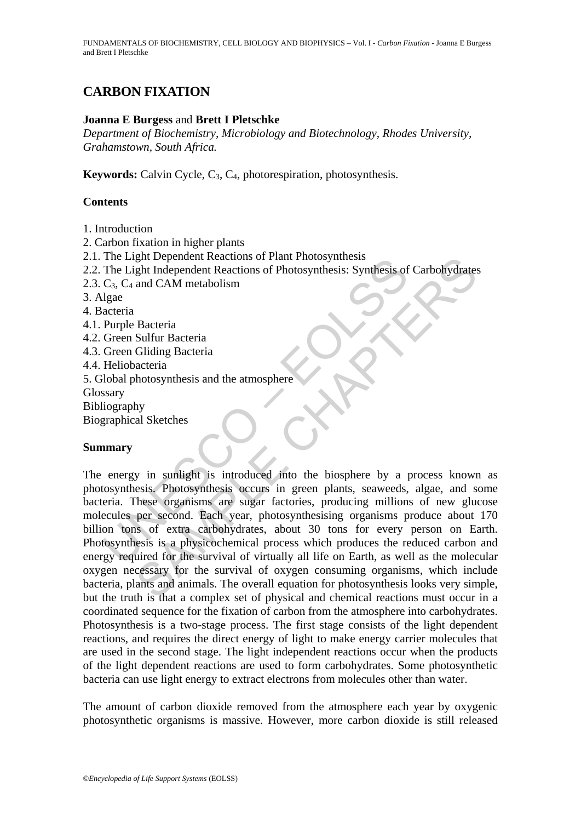FUNDAMENTALS OF BIOCHEMISTRY, CELL BIOLOGY AND BIOPHYSICS – Vol. I - *Carbon Fixation* - Joanna E Burgess and Brett I Pletschke

# **CARBON FIXATION**

## **Joanna E Burgess** and **Brett I Pletschke**

*Department of Biochemistry, Microbiology and Biotechnology, Rhodes University, Grahamstown, South Africa.* 

**Keywords:** Calvin Cycle, C<sub>3</sub>, C<sub>4</sub>, photorespiration, photosynthesis.

### **Contents**

1. Introduction

2. Carbon fixation in higher plants

- 2.1. The Light Dependent Reactions of Plant Photosynthesis
- 2.2. The Light Independent Reactions of Photosynthesis: Synthesis of Carbohydrates
- 2.3.  $C_3$ ,  $C_4$  and CAM metabolism

3. Algae

- 4. Bacteria
- 4.1. Purple Bacteria
- 4.2. Green Sulfur Bacteria
- 4.3. Green Gliding Bacteria

4.4. Heliobacteria

5. Global photosynthesis and the atmosphere

Glossary

Bibliography

Biographical Sketches

### **Summary**

The Light Dependent Reactions of Franch Holosynthesis<br>
The Light Independent Reactions of Photosynthesis: Synthesis of<br>
The Light Independent Reactions of Photosynthesis: Synthesis of<br>
L<sub>ight</sub><br>
Lignace<br>
acteria<br>
Green Glid gnt Dependent Reactions of Pinit Photosynthesis<br>
the Independent Reactions of Photosynthesis: Synthesis of Carbohydrates<br>
and CAM metabolism<br>
Bacteria<br>
Sulfur Bacteria<br>
Sulfur Bacteria<br>
Sulfur Bacteria<br>
Sulfur Bacteria<br>
Su The energy in sunlight is introduced into the biosphere by a process known as photosynthesis. Photosynthesis occurs in green plants, seaweeds, algae, and some bacteria. These organisms are sugar factories, producing millions of new glucose molecules per second. Each year, photosynthesising organisms produce about 170 billion tons of extra carbohydrates, about 30 tons for every person on Earth. Photosynthesis is a physicochemical process which produces the reduced carbon and energy required for the survival of virtually all life on Earth, as well as the molecular oxygen necessary for the survival of oxygen consuming organisms, which include bacteria, plants and animals. The overall equation for photosynthesis looks very simple, but the truth is that a complex set of physical and chemical reactions must occur in a coordinated sequence for the fixation of carbon from the atmosphere into carbohydrates. Photosynthesis is a two-stage process. The first stage consists of the light dependent reactions, and requires the direct energy of light to make energy carrier molecules that are used in the second stage. The light independent reactions occur when the products of the light dependent reactions are used to form carbohydrates. Some photosynthetic bacteria can use light energy to extract electrons from molecules other than water.

The amount of carbon dioxide removed from the atmosphere each year by oxygenic photosynthetic organisms is massive. However, more carbon dioxide is still released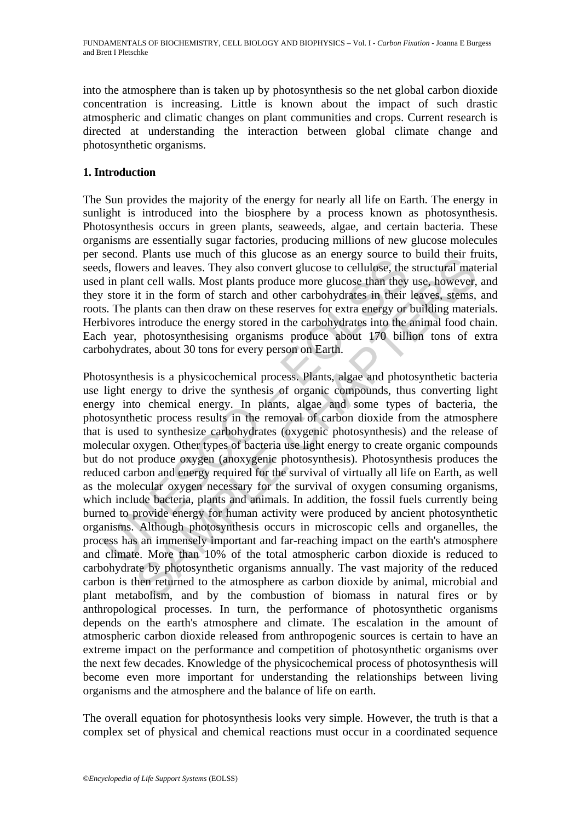into the atmosphere than is taken up by photosynthesis so the net global carbon dioxide concentration is increasing. Little is known about the impact of such drastic atmospheric and climatic changes on plant communities and crops. Current research is directed at understanding the interaction between global climate change and photosynthetic organisms.

## **1. Introduction**

The Sun provides the majority of the energy for nearly all life on Earth. The energy in sunlight is introduced into the biosphere by a process known as photosynthesis. Photosynthesis occurs in green plants, seaweeds, algae, and certain bacteria. These organisms are essentially sugar factories, producing millions of new glucose molecules per second. Plants use much of this glucose as an energy source to build their fruits, seeds, flowers and leaves. They also convert glucose to cellulose, the structural material used in plant cell walls. Most plants produce more glucose than they use, however, and they store it in the form of starch and other carbohydrates in their leaves, stems, and roots. The plants can then draw on these reserves for extra energy or building materials. Herbivores introduce the energy stored in the carbohydrates into the animal food chain. Each year, photosynthesising organisms produce about 170 billion tons of extra carbohydrates, about 30 tons for every person on Earth.

scoon. Than's assessment of any guestoc as an energy source to cellulose, the in plant cell walls. Most plants produce more glucose to cellulose, the in plant cell walls. Most plants produce more glucose than they vero it Frame such on this guidose as an energy solute to unit are in the product of the ratio.<br>
Then see means a leaves. They also convert glucose to cellulose, the structural mat<br>
ant cell walls. Most plants produce more glucos Photosynthesis is a physicochemical process. Plants, algae and photosynthetic bacteria use light energy to drive the synthesis of organic compounds, thus converting light energy into chemical energy. In plants, algae and some types of bacteria, the photosynthetic process results in the removal of carbon dioxide from the atmosphere that is used to synthesize carbohydrates (oxygenic photosynthesis) and the release of molecular oxygen. Other types of bacteria use light energy to create organic compounds but do not produce oxygen (anoxygenic photosynthesis). Photosynthesis produces the reduced carbon and energy required for the survival of virtually all life on Earth, as well as the molecular oxygen necessary for the survival of oxygen consuming organisms, which include bacteria, plants and animals. In addition, the fossil fuels currently being burned to provide energy for human activity were produced by ancient photosynthetic organisms. Although photosynthesis occurs in microscopic cells and organelles, the process has an immensely important and far-reaching impact on the earth's atmosphere and climate. More than 10% of the total atmospheric carbon dioxide is reduced to carbohydrate by photosynthetic organisms annually. The vast majority of the reduced carbon is then returned to the atmosphere as carbon dioxide by animal, microbial and plant metabolism, and by the combustion of biomass in natural fires or by anthropological processes. In turn, the performance of photosynthetic organisms depends on the earth's atmosphere and climate. The escalation in the amount of atmospheric carbon dioxide released from anthropogenic sources is certain to have an extreme impact on the performance and competition of photosynthetic organisms over the next few decades. Knowledge of the physicochemical process of photosynthesis will become even more important for understanding the relationships between living organisms and the atmosphere and the balance of life on earth.

The overall equation for photosynthesis looks very simple. However, the truth is that a complex set of physical and chemical reactions must occur in a coordinated sequence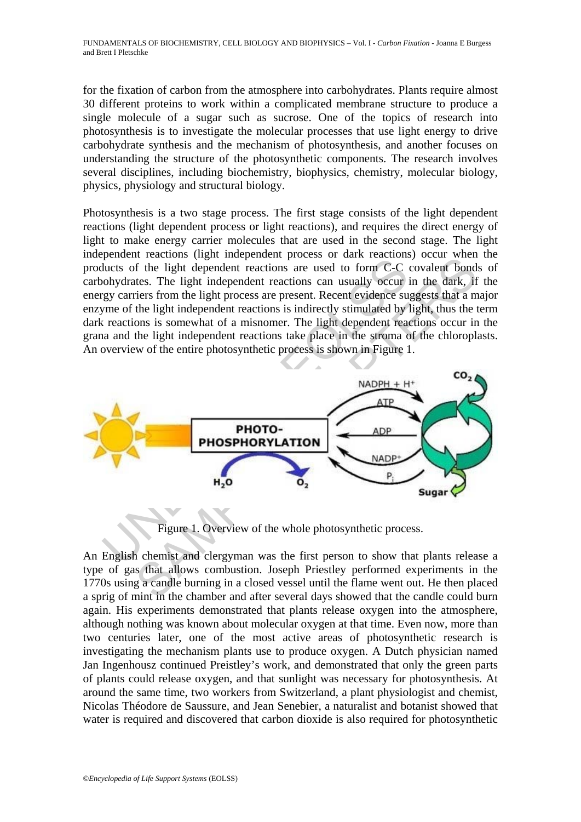for the fixation of carbon from the atmosphere into carbohydrates. Plants require almost 30 different proteins to work within a complicated membrane structure to produce a single molecule of a sugar such as sucrose. One of the topics of research into photosynthesis is to investigate the molecular processes that use light energy to drive carbohydrate synthesis and the mechanism of photosynthesis, and another focuses on understanding the structure of the photosynthetic components. The research involves several disciplines, including biochemistry, biophysics, chemistry, molecular biology, physics, physiology and structural biology.

Photosynthesis is a two stage process. The first stage consists of the light dependent reactions (light dependent process or light reactions), and requires the direct energy of light to make energy carrier molecules that are used in the second stage. The light independent reactions (light independent process or dark reactions) occur when the products of the light dependent reactions are used to form C-C covalent bonds of carbohydrates. The light independent reactions can usually occur in the dark, if the energy carriers from the light process are present. Recent evidence suggests that a major enzyme of the light independent reactions is indirectly stimulated by light, thus the term dark reactions is somewhat of a misnomer. The light dependent reactions occur in the grana and the light independent reactions take place in the stroma of the chloroplasts. An overview of the entire photosynthetic process is shown in Figure 1.



Figure 1. Overview of the whole photosynthetic process.

An English chemist and clergyman was the first person to show that plants release a type of gas that allows combustion. Joseph Priestley performed experiments in the 1770s using a candle burning in a closed vessel until the flame went out. He then placed a sprig of mint in the chamber and after several days showed that the candle could burn again. His experiments demonstrated that plants release oxygen into the atmosphere, although nothing was known about molecular oxygen at that time. Even now, more than two centuries later, one of the most active areas of photosynthetic research is investigating the mechanism plants use to produce oxygen. A Dutch physician named Jan Ingenhousz continued Preistley's work, and demonstrated that only the green parts of plants could release oxygen, and that sunlight was necessary for photosynthesis. At around the same time, two workers from Switzerland, a plant physiologist and chemist, Nicolas Théodore de Saussure, and Jean Senebier, a naturalist and botanist showed that water is required and discovered that carbon dioxide is also required for photosynthetic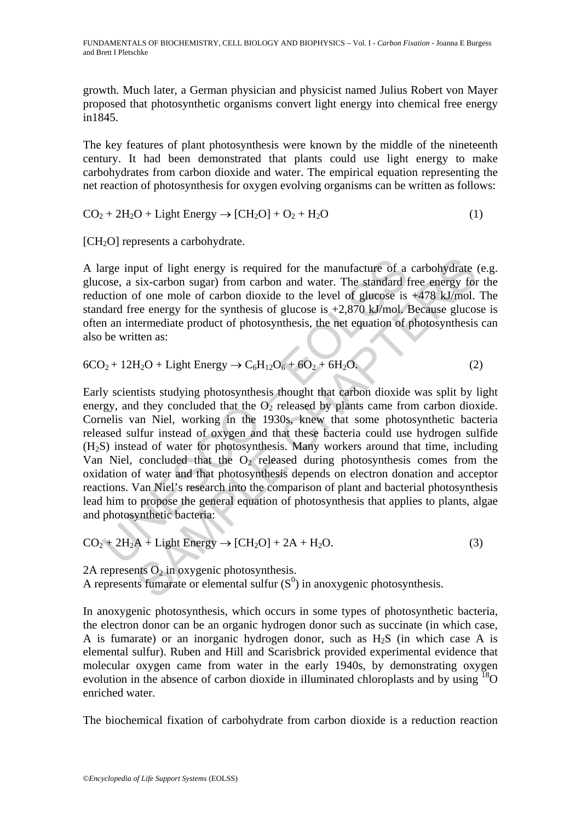FUNDAMENTALS OF BIOCHEMISTRY, CELL BIOLOGY AND BIOPHYSICS – Vol. I - *Carbon Fixation* - Joanna E Burgess and Brett I Pletschke

growth. Much later, a German physician and physicist named Julius Robert von Mayer proposed that photosynthetic organisms convert light energy into chemical free energy in1845.

The key features of plant photosynthesis were known by the middle of the nineteenth century. It had been demonstrated that plants could use light energy to make carbohydrates from carbon dioxide and water. The empirical equation representing the net reaction of photosynthesis for oxygen evolving organisms can be written as follows:

 $CO<sub>2</sub> + 2H<sub>2</sub>O + Light Energy \rightarrow [CH<sub>2</sub>O] + O<sub>2</sub> + H<sub>2</sub>O$  (1)

[CH<sub>2</sub>O] represents a carbohydrate.

A large input of light energy is required for the manufacture of a carbohydrate (e.g. glucose, a six-carbon sugar) from carbon and water. The standard free energy for the reduction of one mole of carbon dioxide to the level of glucose is +478 kJ/mol. The standard free energy for the synthesis of glucose is  $+2,870$  kJ/mol. Because glucose is often an intermediate product of photosynthesis, the net equation of photosynthesis can also be written as:

$$
6CO2 + 12H2O + Light Energy \rightarrow C6H12O6 + 6O2 + 6H2O.
$$
 (2)

arge input of light energy is required for the manufacture of a<br>cose, a six-carbon sugar) from carbon and water. The standard f<br>action of one mole of carbon dioxide to the level of glucose is<br>dard free energy for the synt put of light energy is required for the manufacture of a carbohydrate six-carbon sugar) from carbon and water. The standard free energy for of one mole of carbon dioxide to the level of glucose is +478 kJ/mol.<br>Because gen Early scientists studying photosynthesis thought that carbon dioxide was split by light energy, and they concluded that the  $O<sub>2</sub>$  released by plants came from carbon dioxide. Cornelis van Niel, working in the 1930s, knew that some photosynthetic bacteria released sulfur instead of oxygen and that these bacteria could use hydrogen sulfide (H2S) instead of water for photosynthesis. Many workers around that time, including Van Niel, concluded that the  $O_2$  released during photosynthesis comes from the oxidation of water and that photosynthesis depends on electron donation and acceptor reactions. Van Niel's research into the comparison of plant and bacterial photosynthesis lead him to propose the general equation of photosynthesis that applies to plants, algae and photosynthetic bacteria:

$$
CO2 + 2H2A + Light Energy \rightarrow [CH2O] + 2A + H2O.
$$
\n(3)

2A represents  $O_2$  in oxygenic photosynthesis. A represents fumarate or elemental sulfur  $(S<sup>0</sup>)$  in anoxygenic photosynthesis.

In anoxygenic photosynthesis, which occurs in some types of photosynthetic bacteria, the electron donor can be an organic hydrogen donor such as succinate (in which case, A is fumarate) or an inorganic hydrogen donor, such as  $H_2S$  (in which case A is elemental sulfur). Ruben and Hill and Scarisbrick provided experimental evidence that molecular oxygen came from water in the early 1940s, by demonstrating oxygen evolution in the absence of carbon dioxide in illuminated chloroplasts and by using <sup>18</sup>O enriched water.

The biochemical fixation of carbohydrate from carbon dioxide is a reduction reaction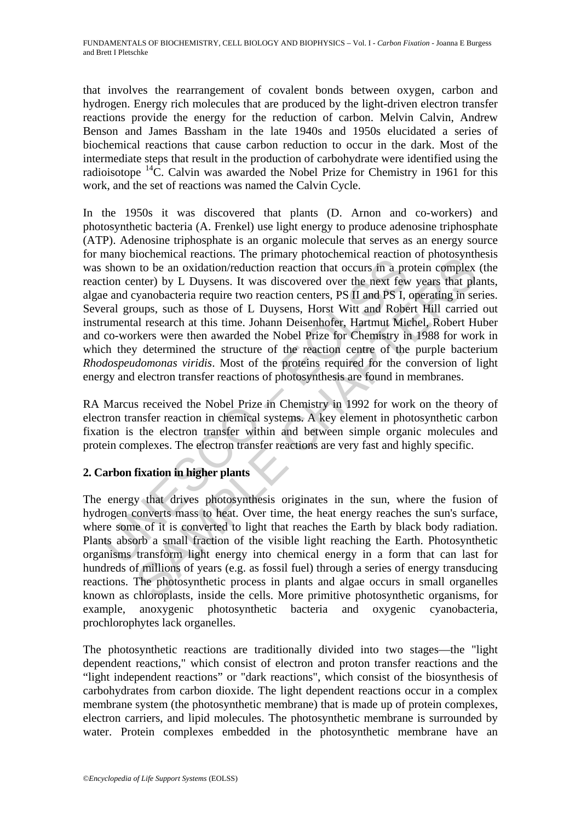that involves the rearrangement of covalent bonds between oxygen, carbon and hydrogen. Energy rich molecules that are produced by the light-driven electron transfer reactions provide the energy for the reduction of carbon. Melvin Calvin, Andrew Benson and James Bassham in the late 1940s and 1950s elucidated a series of biochemical reactions that cause carbon reduction to occur in the dark. Most of the intermediate steps that result in the production of carbohydrate were identified using the radioisotope  ${}^{14}$ C. Calvin was awarded the Nobel Prize for Chemistry in 1961 for this work, and the set of reactions was named the Calvin Cycle.

many concentrate reactions. The pinnary protocometrical reaction<br>shown to be an oxidation/reduction reaction that occurs in a pre-<br>tion center) by L Duysens. It was discovered over the next few<br>e and cyanobacteria require obtained reactions. The punitary photocemine at reaction or photosynthetor<br>to be an oxidation/reduction reaction that occurs in a protein complex<br>netre) by L Duysens. It was discovered over the next few years that pl<br>yanob In the 1950s it was discovered that plants (D. Arnon and co-workers) and photosynthetic bacteria (A. Frenkel) use light energy to produce adenosine triphosphate (ATP). Adenosine triphosphate is an organic molecule that serves as an energy source for many biochemical reactions. The primary photochemical reaction of photosynthesis was shown to be an oxidation/reduction reaction that occurs in a protein complex (the reaction center) by L Duysens. It was discovered over the next few years that plants, algae and cyanobacteria require two reaction centers, PS II and PS I, operating in series. Several groups, such as those of L Duysens, Horst Witt and Robert Hill carried out instrumental research at this time. Johann Deisenhofer, Hartmut Michel, Robert Huber and co-workers were then awarded the Nobel Prize for Chemistry in 1988 for work in which they determined the structure of the reaction centre of the purple bacterium *Rhodospeudomonas viridis*. Most of the proteins required for the conversion of light energy and electron transfer reactions of photosynthesis are found in membranes.

RA Marcus received the Nobel Prize in Chemistry in 1992 for work on the theory of electron transfer reaction in chemical systems. A key element in photosynthetic carbon fixation is the electron transfer within and between simple organic molecules and protein complexes. The electron transfer reactions are very fast and highly specific.

# **2. Carbon fixation in higher plants**

The energy that drives photosynthesis originates in the sun, where the fusion of hydrogen converts mass to heat. Over time, the heat energy reaches the sun's surface, where some of it is converted to light that reaches the Earth by black body radiation. Plants absorb a small fraction of the visible light reaching the Earth. Photosynthetic organisms transform light energy into chemical energy in a form that can last for hundreds of millions of years (e.g. as fossil fuel) through a series of energy transducing reactions. The photosynthetic process in plants and algae occurs in small organelles known as chloroplasts, inside the cells. More primitive photosynthetic organisms, for example, anoxygenic photosynthetic bacteria and oxygenic cyanobacteria, prochlorophytes lack organelles.

The photosynthetic reactions are traditionally divided into two stages—the "light dependent reactions," which consist of electron and proton transfer reactions and the "light independent reactions" or "dark reactions", which consist of the biosynthesis of carbohydrates from carbon dioxide. The light dependent reactions occur in a complex membrane system (the photosynthetic membrane) that is made up of protein complexes, electron carriers, and lipid molecules. The photosynthetic membrane is surrounded by water. Protein complexes embedded in the photosynthetic membrane have an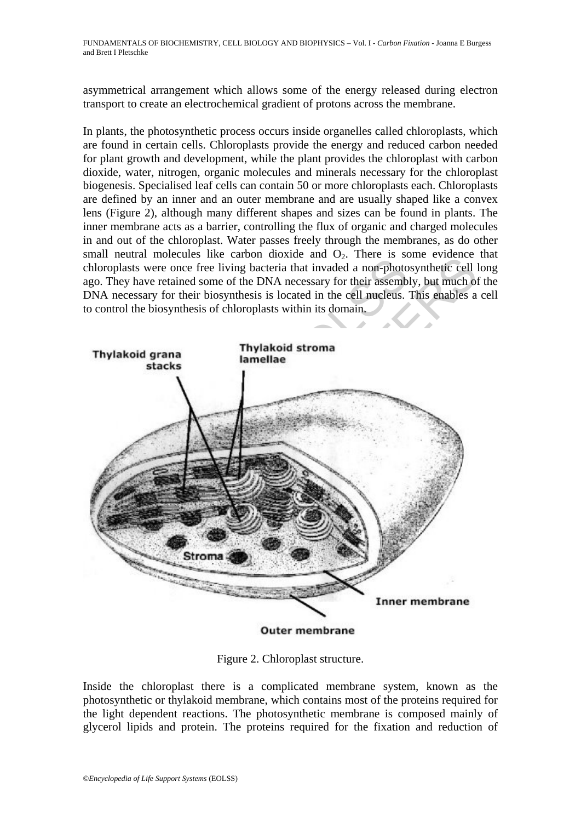asymmetrical arrangement which allows some of the energy released during electron transport to create an electrochemical gradient of protons across the membrane.

In plants, the photosynthetic process occurs inside organelles called chloroplasts, which are found in certain cells. Chloroplasts provide the energy and reduced carbon needed for plant growth and development, while the plant provides the chloroplast with carbon dioxide, water, nitrogen, organic molecules and minerals necessary for the chloroplast biogenesis. Specialised leaf cells can contain 50 or more chloroplasts each. Chloroplasts are defined by an inner and an outer membrane and are usually shaped like a convex lens (Figure 2), although many different shapes and sizes can be found in plants. The inner membrane acts as a barrier, controlling the flux of organic and charged molecules in and out of the chloroplast. Water passes freely through the membranes, as do other small neutral molecules like carbon dioxide and  $O<sub>2</sub>$ . There is some evidence that chloroplasts were once free living bacteria that invaded a non-photosynthetic cell long ago. They have retained some of the DNA necessary for their assembly, but much of the DNA necessary for their biosynthesis is located in the cell nucleus. This enables a cell to control the biosynthesis of chloroplasts within its domain.



**Outer membrane** 

Figure 2. Chloroplast structure.

Inside the chloroplast there is a complicated membrane system, known as the photosynthetic or thylakoid membrane, which contains most of the proteins required for the light dependent reactions. The photosynthetic membrane is composed mainly of glycerol lipids and protein. The proteins required for the fixation and reduction of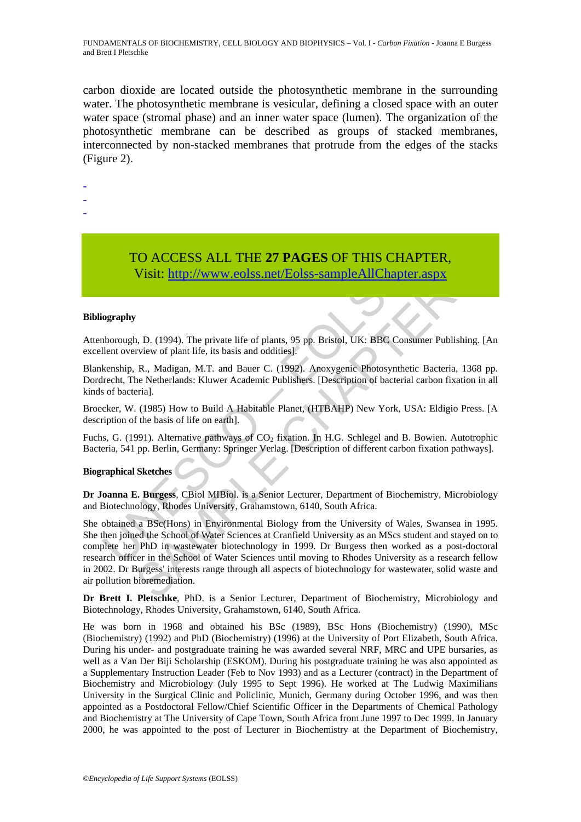FUNDAMENTALS OF BIOCHEMISTRY, CELL BIOLOGY AND BIOPHYSICS – Vol. I - *Carbon Fixation* - Joanna E Burgess and Brett I Pletschke

carbon dioxide are located outside the photosynthetic membrane in the surrounding water. The photosynthetic membrane is vesicular, defining a closed space with an outer water space (stromal phase) and an inner water space (lumen). The organization of the photosynthetic membrane can be described as groups of stacked membranes, interconnected by non-stacked membranes that protrude from the edges of the stacks (Figure 2).

-

- -
- -

# TO ACCESS ALL THE **27 PAGES** OF THIS CHAPTER, Visit: http://www.eolss.net/Eolss-sampleAllChapter.aspx

#### **Bibliography**

Attenborough, D. (1994). The private life of plants, 95 pp. Bristol, UK: BBC Consumer Publishing. [An excellent overview of plant life, its basis and oddities].

Blankenship, R., Madigan, M.T. and Bauer C. (1992). Anoxygenic Photosynthetic Bacteria, 1368 pp. Dordrecht, The Netherlands: Kluwer Academic Publishers. [Description of bacterial carbon fixation in all kinds of bacteria].

Broecker, W. (1985) How to Build A Habitable Planet, (HTBAHP) New York, USA: Eldigio Press. [A description of the basis of life on earth].

Fuchs, G. (1991). Alternative pathways of  $CO<sub>2</sub>$  fixation. In H.G. Schlegel and B. Bowien. Autotrophic Bacteria, 541 pp. Berlin, Germany: Springer Verlag. [Description of different carbon fixation pathways].

#### **Biographical Sketches**

**Dr Joanna E. Burgess**, CBiol MIBiol. is a Senior Lecturer, Department of Biochemistry, Microbiology and Biotechnology, Rhodes University, Grahamstown, 6140, South Africa.

**IO ACCESS ALL THE 27 PAGES OF THIS CHA**<br>
Visit: http://www.eolss.net/Eolss-sampleAllChapte<br>
Visit: http://www.eolss.net/Eolss-sampleAllChapte<br>
ography<br>
mborough, D. (1994). The private life of plants, 95 pp. Bristol, UK: **IO ACCESS ALL THE 27 PAGES OF THIS CHAPTER,**<br>
Visit: **http://www.colss.net/Eolss-sampleAllChapter.aspx**<br>
An D. (1994). The private life of plants, 95 pp. Bristol, UK: BBC Consumer Publishing<br>
rivew of plant life, its basi She obtained a BSc(Hons) in Environmental Biology from the University of Wales, Swansea in 1995. She then joined the School of Water Sciences at Cranfield University as an MScs student and stayed on to complete her PhD in wastewater biotechnology in 1999. Dr Burgess then worked as a post-doctoral research officer in the School of Water Sciences until moving to Rhodes University as a research fellow in 2002. Dr Burgess' interests range through all aspects of biotechnology for wastewater, solid waste and air pollution bioremediation.

**Dr Brett I. Pletschke**, PhD. is a Senior Lecturer, Department of Biochemistry, Microbiology and Biotechnology, Rhodes University, Grahamstown, 6140, South Africa.

He was born in 1968 and obtained his BSc (1989), BSc Hons (Biochemistry) (1990), MSc (Biochemistry) (1992) and PhD (Biochemistry) (1996) at the University of Port Elizabeth, South Africa. During his under- and postgraduate training he was awarded several NRF, MRC and UPE bursaries, as well as a Van Der Biji Scholarship (ESKOM). During his postgraduate training he was also appointed as a Supplementary Instruction Leader (Feb to Nov 1993) and as a Lecturer (contract) in the Department of Biochemistry and Microbiology (July 1995 to Sept 1996). He worked at The Ludwig Maximilians University in the Surgical Clinic and Policlinic, Munich, Germany during October 1996, and was then appointed as a Postdoctoral Fellow/Chief Scientific Officer in the Departments of Chemical Pathology and Biochemistry at The University of Cape Town, South Africa from June 1997 to Dec 1999. In January 2000, he was appointed to the post of Lecturer in Biochemistry at the Department of Biochemistry,